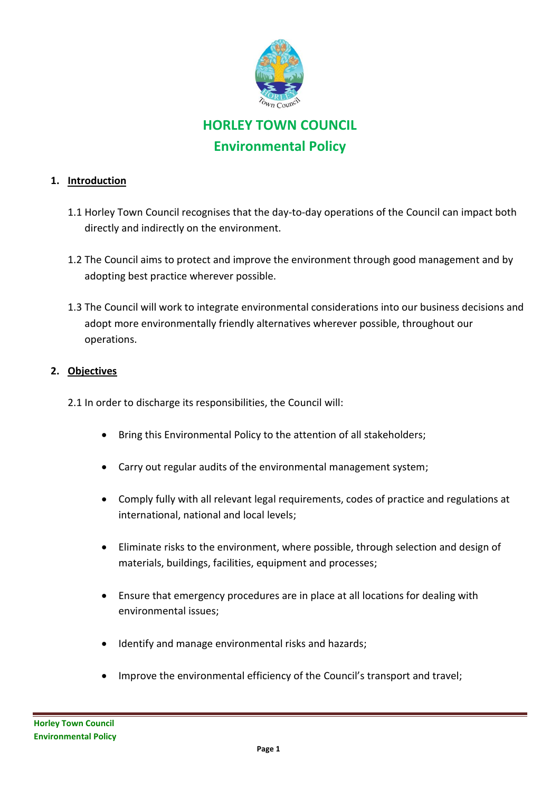

## **HORLEY TOWN COUNCIL Environmental Policy**

## **1. Introduction**

- 1.1 Horley Town Council recognises that the day-to-day operations of the Council can impact both directly and indirectly on the environment.
- 1.2 The Council aims to protect and improve the environment through good management and by adopting best practice wherever possible.
- 1.3 The Council will work to integrate environmental considerations into our business decisions and adopt more environmentally friendly alternatives wherever possible, throughout our operations.

## **2. Objectives**

2.1 In order to discharge its responsibilities, the Council will:

- Bring this Environmental Policy to the attention of all stakeholders;
- Carry out regular audits of the environmental management system;
- Comply fully with all relevant legal requirements, codes of practice and regulations at international, national and local levels;
- Eliminate risks to the environment, where possible, through selection and design of materials, buildings, facilities, equipment and processes;
- Ensure that emergency procedures are in place at all locations for dealing with environmental issues;
- Identify and manage environmental risks and hazards;
- Improve the environmental efficiency of the Council's transport and travel;